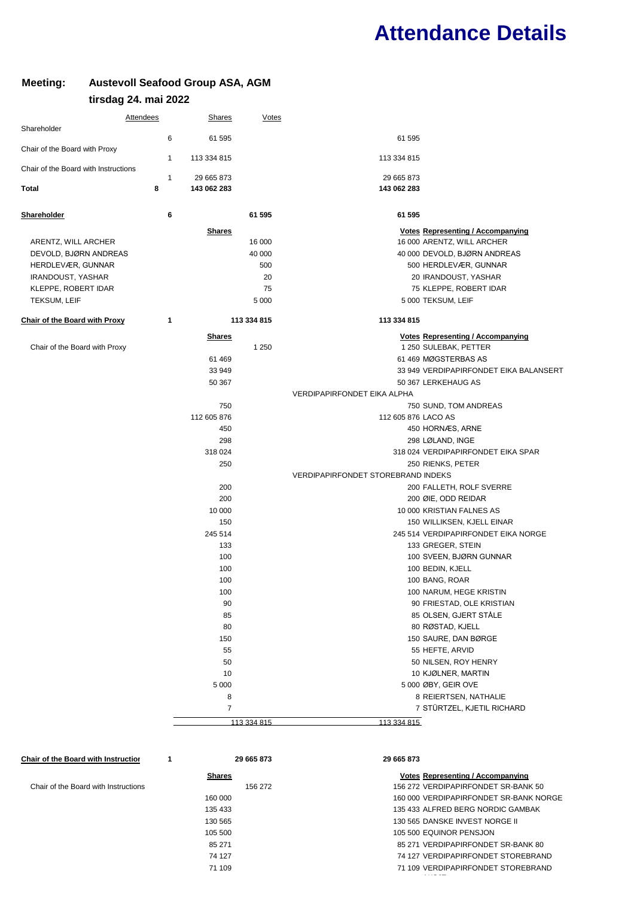## **Attendance Details**

## **Meeting: Austevoll Seafood Group ASA, AGM tirsdag 24. mai 2022**

| <b>Attendees</b>                     |              | <b>Shares</b>  | <b>Votes</b> |                                           |                                          |
|--------------------------------------|--------------|----------------|--------------|-------------------------------------------|------------------------------------------|
| Shareholder                          | 6            | 61 595         |              | 61 595                                    |                                          |
| Chair of the Board with Proxy        |              |                |              |                                           |                                          |
|                                      | 1            | 113 334 815    |              | 113 334 815                               |                                          |
| Chair of the Board with Instructions | $\mathbf{1}$ | 29 665 873     |              | 29 665 873                                |                                          |
| Total                                | 8            | 143 062 283    |              | 143 062 283                               |                                          |
|                                      |              |                |              |                                           |                                          |
| <b>Shareholder</b>                   | 6            |                | 61 595       | 61 595                                    |                                          |
|                                      |              | <b>Shares</b>  |              |                                           | <b>Votes Representing / Accompanying</b> |
| ARENTZ, WILL ARCHER                  |              |                | 16 000       |                                           | 16 000 ARENTZ, WILL ARCHER               |
| DEVOLD, BJØRN ANDREAS                |              |                | 40 000       |                                           | 40 000 DEVOLD, BJØRN ANDREAS             |
| HERDLEVÆR, GUNNAR                    |              |                | 500          |                                           | 500 HERDLEVÆR, GUNNAR                    |
| IRANDOUST, YASHAR                    |              |                | 20           |                                           | 20 IRANDOUST, YASHAR                     |
| KLEPPE, ROBERT IDAR                  |              |                | 75           |                                           | 75 KLEPPE, ROBERT IDAR                   |
| TEKSUM, LEIF                         |              |                | 5 0 0 0      |                                           | 5 000 TEKSUM, LEIF                       |
| <b>Chair of the Board with Proxy</b> | 1            |                | 113 334 815  | 113 334 815                               |                                          |
|                                      |              | <b>Shares</b>  |              |                                           | <b>Votes Representing / Accompanying</b> |
| Chair of the Board with Proxy        |              |                | 1 2 5 0      |                                           | 1 250 SULEBAK, PETTER                    |
|                                      |              | 61 469         |              |                                           | 61 469 MØGSTERBAS AS                     |
|                                      |              | 33 949         |              |                                           | 33 949 VERDIPAPIRFONDET EIKA BALANSERT   |
|                                      |              | 50 367         |              |                                           | 50 367 LERKEHAUG AS                      |
|                                      |              |                |              | VERDIPAPIRFONDET EIKA ALPHA               |                                          |
|                                      |              | 750            |              |                                           | 750 SUND, TOM ANDREAS                    |
|                                      |              | 112 605 876    |              | 112 605 876 LACO AS                       |                                          |
|                                      |              | 450            |              |                                           | 450 HORNÆS, ARNE                         |
|                                      |              | 298            |              |                                           | 298 LØLAND, INGE                         |
|                                      |              | 318 024        |              |                                           | 318 024 VERDIPAPIRFONDET EIKA SPAR       |
|                                      |              | 250            |              |                                           | 250 RIENKS, PETER                        |
|                                      |              |                |              | <b>VERDIPAPIRFONDET STOREBRAND INDEKS</b> |                                          |
|                                      |              | 200            |              |                                           | 200 FALLETH, ROLF SVERRE                 |
|                                      |              | 200            |              |                                           | 200 ØIE, ODD REIDAR                      |
|                                      |              | 10 000         |              |                                           | 10 000 KRISTIAN FALNES AS                |
|                                      |              | 150            |              |                                           | 150 WILLIKSEN, KJELL EINAR               |
|                                      |              | 245 514        |              |                                           | 245 514 VERDIPAPIRFONDET EIKA NORGE      |
|                                      |              | 133            |              |                                           | 133 GREGER, STEIN                        |
|                                      |              | 100            |              |                                           | 100 SVEEN, BJØRN GUNNAR                  |
|                                      |              | 100            |              |                                           | 100 BEDIN, KJELL                         |
|                                      |              | 100            |              |                                           | 100 BANG, ROAR                           |
|                                      |              | 100            |              |                                           | 100 NARUM, HEGE KRISTIN                  |
|                                      |              | 90             |              |                                           | 90 FRIESTAD, OLE KRISTIAN                |
|                                      |              | 85             |              |                                           | 85 OLSEN, GJERT STÅLE                    |
|                                      |              | 80             |              |                                           | 80 RØSTAD, KJELL                         |
|                                      |              | 150            |              |                                           | 150 SAURE, DAN BØRGE                     |
|                                      |              | 55             |              |                                           | 55 HEFTE, ARVID                          |
|                                      |              | 50             |              |                                           | 50 NILSEN, ROY HENRY                     |
|                                      |              | 10             |              |                                           | 10 KJØLNER, MARTIN                       |
|                                      |              | 5 0 0 0        |              |                                           | 5 000 ØBY, GEIR OVE                      |
|                                      |              | 8              |              |                                           | 8 REIERTSEN, NATHALIE                    |
|                                      |              | $\overline{7}$ |              |                                           | 7 STÜRTZEL, KJETIL RICHARD               |
|                                      |              |                | 113 334 815  | 113 334 815                               |                                          |

| <b>Chair of the Board with Instruction</b> | 29 665 873    | 29 665 873                               |
|--------------------------------------------|---------------|------------------------------------------|
|                                            | <b>Shares</b> | <b>Votes Representing / Accompanying</b> |
| Chair of the Board with Instructions       | 156 272       | 156 272 VERDIPAPIRFONDET SR-BANK 50      |
|                                            | 160 000       | 160 000 VERDIPAPIRFONDET SR-BANK NORGE   |
|                                            | 135 433       | 135 433 ALFRED BERG NORDIC GAMBAK        |
|                                            | 130 565       | 130 565 DANSKE INVEST NORGE II           |
|                                            | 105 500       | 105 500 EQUINOR PENSJON                  |
|                                            | 85 271        | 85 271 VERDIPAPIRFONDET SR-BANK 80       |
|                                            | 74 127        | 74 127 VERDIPAPIRFONDET STOREBRAND       |
|                                            | 71 109        | 71 109 VERDIPAPIRFONDET STOREBRAND       |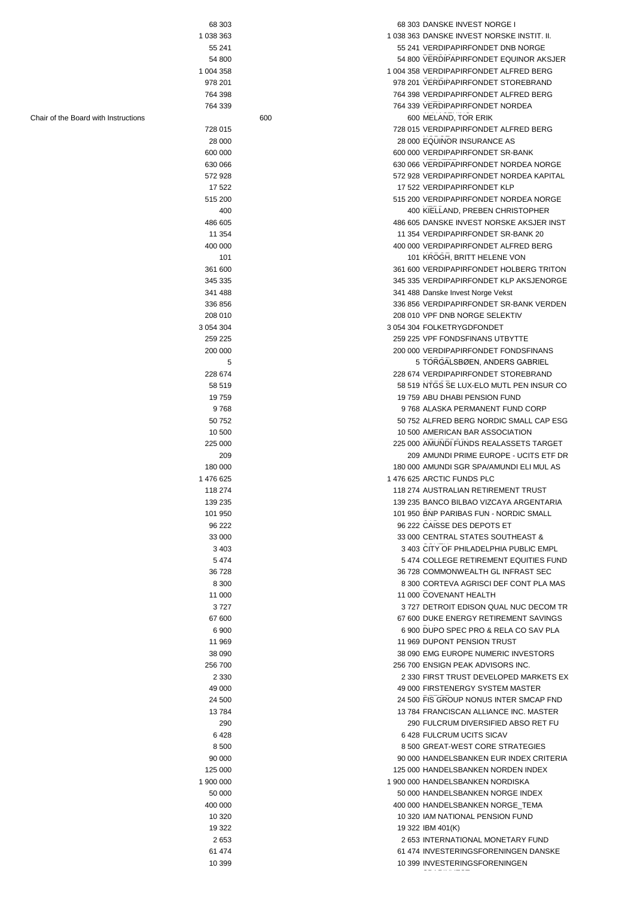| 68 303    |     | 68 303 DANSKE INVEST NORGE I               |
|-----------|-----|--------------------------------------------|
| 1 038 363 |     | 1 038 363 DANSKE INVEST NORSKE INSTIT. II. |
| 55 241    |     | 55 241 VERDIPAPIRFONDET DNB NORGE          |
| 54 800    |     | 54 800 VERDIPAPIRFONDET EQUINOR AKSJER     |
| 1 004 358 |     | 1 004 358 VERDIPAPIRFONDET ALFRED BERG     |
| 978 201   |     | 978 201 VERDIPAPIRFONDET STOREBRAND        |
| 764 398   |     | 764 398 VERDIPAPIRFONDET ALFRED BERG       |
|           |     |                                            |
| 764 339   |     | 764 339 VERDIPAPIRFONDET NORDEA            |
|           | 600 | 600 MELAND, TOR ERIK                       |
| 728 015   |     | 728 015 VERDIPAPIRFONDET ALFRED BERG       |
| 28 000    |     | 28 000 EQUINOR INSURANCE AS                |
| 600 000   |     | 600 000 VERDIPAPIRFONDET SR-BANK           |
| 630 066   |     | 630 066 VERDIPAPIRFONDET NORDEA NORGE      |
| 572 928   |     | 572 928 VERDIPAPIRFONDET NORDEA KAPITAL    |
| 17 522    |     | 17 522 VERDIPAPIRFONDET KLP                |
| 515 200   |     | 515 200 VERDIPAPIRFONDET NORDEA NORGE      |
| 400       |     | 400 KIELLAND, PREBEN CHRISTOPHER           |
| 486 605   |     | 486 605 DANSKE INVEST NORSKE AKSJER INST   |
| 11 354    |     | 11 354 VERDIPAPIRFONDET SR-BANK 20         |
| 400 000   |     | 400 000 VERDIPAPIRFONDET ALFRED BERG       |
| 101       |     | 101 KROGH, BRITT HELENE VON                |
| 361 600   |     | 361 600 VERDIPAPIRFONDET HOLBERG TRITON    |
|           |     | 345 335 VERDIPAPIRFONDET KLP AKSJENORGE    |
| 345 335   |     |                                            |
| 341 488   |     | 341 488 Danske Invest Norge Vekst          |
| 336 856   |     | 336 856 VERDIPAPIRFONDET SR-BANK VERDEN    |
| 208 010   |     | 208 010 VPF DNB NORGE SELEKTIV             |
| 3 054 304 |     | 3 054 304 FOLKETRYGDFONDET                 |
| 259 225   |     | 259 225 VPF FONDSFINANS UTBYTTE            |
| 200 000   |     | 200 000 VERDIPAPIRFONDET FONDSFINANS       |
| 5         |     | 5 TORGALSBØEN, ANDERS GABRIEL              |
| 228 674   |     | 228 674 VERDIPAPIRFONDET STOREBRAND        |
| 58 519    |     | 58 519 NTGS SE LUX-ELO MUTL PEN INSUR CO   |
| 19759     |     | 19 759 ABU DHABI PENSION FUND              |
| 9768      |     | 9768 ALASKA PERMANENT FUND CORP            |
| 50 752    |     | 50 752 ALFRED BERG NORDIC SMALL CAP ESG    |
|           |     |                                            |
| 10 500    |     | 10 500 AMERICAN BAR ASSOCIATION            |
| 225 000   |     | 225 000 AMUNDI FUNDS REALASSETS TARGET     |
| 209       |     | 209 AMUNDI PRIME EUROPE - UCITS ETF DR     |
| 180 000   |     | 180 000 AMUNDI SGR SPA/AMUNDI ELI MUL AS   |
| 1476625   |     | 1 476 625 ARCTIC FUNDS PLC                 |
| 118 274   |     | 118 274 AUSTRALIAN RETIREMENT TRUST        |
| 139 235   |     | 139 235 BANCO BILBAO VIZCAYA ARGENTARIA    |
| 101 950   |     | 101 950 BNP PARIBAS FUN - NORDIC SMALL     |
| 96 222    |     | 96 222 CAISSE DES DEPOTS ET                |
| 33 000    |     | 33 000 CENTRAL STATES SOUTHEAST &          |
| 3 4 0 3   |     | 3 403 CITY OF PHILADELPHIA PUBLIC EMPL     |
| 5 4 7 4   |     | 5474 COLLEGE RETIREMENT EQUITIES FUND      |
| 36 728    |     | 36 728 COMMONWEALTH GL INFRAST SEC         |
| 8 3 0 0   |     | 8 300 CORTEVA AGRISCI DEF CONT PLA MAS     |
|           |     |                                            |
| 11 000    |     | 11 000 COVENANT HEALTH                     |
| 3727      |     | 3727 DETROIT EDISON QUAL NUC DECOM TR      |
| 67 600    |     | 67 600 DUKE ENERGY RETIREMENT SAVINGS      |
| 6 900     |     | 6 900 DUPO SPEC PRO & RELA CO SAV PLA      |
| 11 969    |     | 11 969 DUPONT PENSION TRUST                |
| 38 090    |     | 38 090 EMG EUROPE NUMERIC INVESTORS        |
| 256 700   |     | 256 700 ENSIGN PEAK ADVISORS INC.          |
| 2 3 3 0   |     | 2 330 FIRST TRUST DEVELOPED MARKETS EX     |
| 49 000    |     | 49 000 FIRSTENERGY SYSTEM MASTER           |
| 24 500    |     | 24 500 FIS GROUP NONUS INTER SMCAP FND     |
| 13784     |     | 13 784 FRANCISCAN ALLIANCE INC. MASTER     |
| 290       |     | 290 FULCRUM DIVERSIFIED ABSO RET FU        |
| 6428      |     | 6428 FULCRUM UCITS SICAV                   |
| 8 500     |     | 8 500 GREAT-WEST CORE STRATEGIES           |
|           |     | 90 000 HANDELSBANKEN EUR INDEX CRITERIA    |
| 90 000    |     |                                            |
| 125 000   |     | 125 000 HANDELSBANKEN NORDEN INDEX         |
| 1 900 000 |     | 1 900 000 HANDELSBANKEN NORDISKA           |
| 50 000    |     | 50 000 HANDELSBANKEN NORGE INDEX           |
| 400 000   |     | 400 000 HANDELSBANKEN NORGE TEMA           |
| 10 320    |     | 10 320 IAM NATIONAL PENSION FUND           |
| 19 322    |     | 19 322 IBM 401(K)                          |
| 2653      |     | 2 653 INTERNATIONAL MONETARY FUND          |
| 61 474    |     | 61 474 INVESTERINGSFORENINGEN DANSKE       |
| 10 399    |     | 10 399 INVESTERINGSFORENINGEN              |
|           |     |                                            |

Chair of the Board with Instructions 600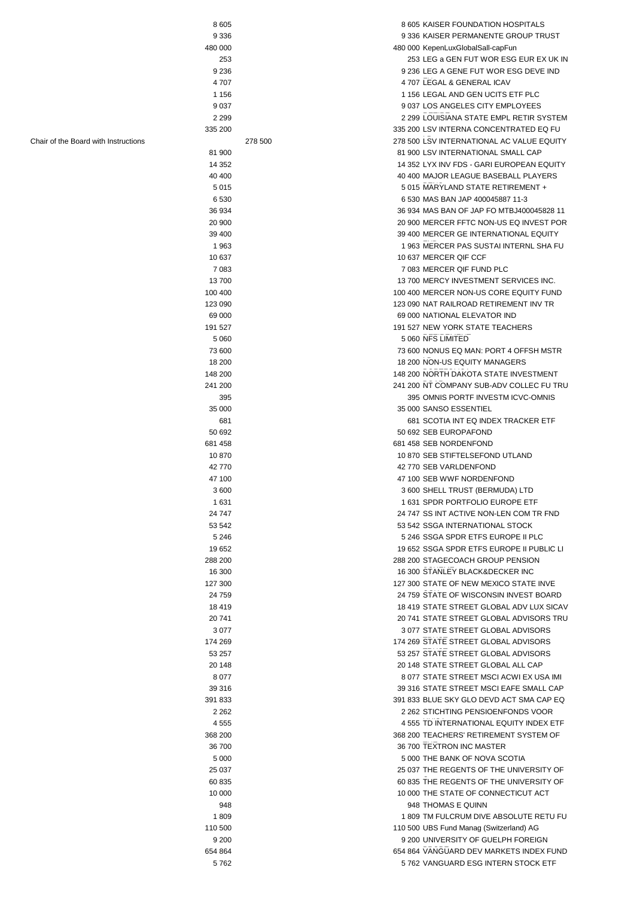| 8 6 0 5                              |         | 8 605 KAISER FOUNDATION HOSPITALS         |
|--------------------------------------|---------|-------------------------------------------|
| 9 3 3 6                              |         | 9 336 KAISER PERMANENTE GROUP TRUST       |
| 480 000                              |         | 480 000 KepenLuxGlobalSall-capFun         |
|                                      |         |                                           |
| 253                                  |         | 253 LEG a GEN FUT WOR ESG EUR EX UK IN    |
| 9 2 3 6                              |         | 9 236 LEG A GENE FUT WOR ESG DEVE IND     |
|                                      |         |                                           |
| 4707                                 |         | 4707 LEGAL & GENERAL ICAV                 |
| 1 1 5 6                              |         | 1 156 LEGAL AND GEN UCITS ETF PLC         |
| 9 0 3 7                              |         | 9 037 LOS ANGELES CITY EMPLOYEES          |
|                                      |         |                                           |
| 2 2 9 9                              |         | 2 299 LOUISIANA STATE EMPL RETIR SYSTEM   |
| 335 200                              |         | 335 200 LSV INTERNA CONCENTRATED EQ FU    |
|                                      |         |                                           |
| Chair of the Board with Instructions | 278 500 | 278 500 LSV INTERNATIONAL AC VALUE EQUITY |
| 81 900                               |         | 81 900 LSV INTERNATIONAL SMALL CAP        |
| 14 3 52                              |         | 14 352 LYX INV FDS - GARI EUROPEAN EQUITY |
|                                      |         |                                           |
| 40 400                               |         | 40 400 MAJOR LEAGUE BASEBALL PLAYERS      |
| 5015                                 |         | 5 015 MARYLAND STATE RETIREMENT +         |
| 6 5 3 0                              |         | 6 530 MAS BAN JAP 400045887 11-3          |
|                                      |         |                                           |
| 36 934                               |         | 36 934 MAS BAN OF JAP FO MTBJ400045828 11 |
| 20 900                               |         | 20 900 MERCER FFTC NON-US EQ INVEST POR   |
|                                      |         |                                           |
| 39 400                               |         | 39 400 MERCER GE INTERNATIONAL EQUITY     |
| 1963                                 |         | 1963 MERCER PAS SUSTAI INTERNL SHA FU     |
|                                      |         | 10 637 MERCER QIF CCF                     |
| 10 637                               |         |                                           |
| 7 0 8 3                              |         | 7 083 MERCER QIF FUND PLC                 |
| 13700                                |         | 13 700 MERCY INVESTMENT SERVICES INC.     |
|                                      |         |                                           |
| 100 400                              |         | 100 400 MERCER NON-US CORE EQUITY FUND    |
| 123 090                              |         | 123 090 NAT RAILROAD RETIREMENT INV TR    |
|                                      |         | 69 000 NATIONAL ELEVATOR IND              |
| 69 000                               |         |                                           |
| 191 527                              |         | 191 527 NEW YORK STATE TEACHERS           |
| 5 0 6 0                              |         | 5 060 NFS LIMITED                         |
|                                      |         |                                           |
| 73 600                               |         | 73 600 NONUS EQ MAN: PORT 4 OFFSH MSTR    |
| 18 200                               |         | 18 200 NON-US EQUITY MANAGERS             |
|                                      |         |                                           |
| 148 200                              |         | 148 200 NORTH DAKOTA STATE INVESTMENT     |
| 241 200                              |         | 241 200 NT COMPANY SUB-ADV COLLEC FU TRU  |
| 395                                  |         | 395 OMNIS PORTF INVESTM ICVC-OMNIS        |
|                                      |         |                                           |
| 35 000                               |         | 35 000 SANSO ESSENTIEL                    |
| 681                                  |         | 681 SCOTIA INT EQ INDEX TRACKER ETF       |
|                                      |         |                                           |
| 50 692                               |         | 50 692 SEB EUROPAFOND                     |
| 681 458                              |         | 681 458 SEB NORDENFOND                    |
|                                      |         | 10 870 SEB STIFTELSEFOND UTLAND           |
| 10 870                               |         |                                           |
| 42 770                               |         | 42 770 SEB VARLDENFOND                    |
| 47 100                               |         | 47 100 SEB WWF NORDENFOND                 |
|                                      |         |                                           |
| 3 600                                |         | 3 600 SHELL TRUST (BERMUDA) LTD           |
| 1 631                                |         | 1 631 SPDR PORTFOLIO EUROPE ETF           |
|                                      |         |                                           |
| 24 747                               |         | 24 747 SS INT ACTIVE NON-LEN COM TR FND   |
| 53 542                               |         | 53 542 SSGA INTERNATIONAL STOCK           |
| 5 2 4 6                              |         | 5 246 SSGA SPDR ETFS EUROPE II PLC        |
|                                      |         |                                           |
| 19 652                               |         | 19 652 SSGA SPDR ETFS EUROPE II PUBLIC LI |
| 288 200                              |         | 288 200 STAGECOACH GROUP PENSION          |
|                                      |         |                                           |
| 16 300                               |         | 16 300 STANLEY BLACK&DECKER INC           |
| 127 300                              |         | 127 300 STATE OF NEW MEXICO STATE INVE    |
| 24 759                               |         | 24 759 STATE OF WISCONSIN INVEST BOARD    |
|                                      |         |                                           |
| 18 419                               |         | 18 419 STATE STREET GLOBAL ADV LUX SICAV  |
| 20 741                               |         | 20 741 STATE STREET GLOBAL ADVISORS TRU   |
|                                      |         |                                           |
| 3 0 7 7                              |         | 3 077 STATE STREET GLOBAL ADVISORS        |
| 174 269                              |         | 174 269 STATE STREET GLOBAL ADVISORS      |
| 53 257                               |         | 53 257 STATE STREET GLOBAL ADVISORS       |
|                                      |         |                                           |
| 20 148                               |         | 20 148 STATE STREET GLOBAL ALL CAP        |
| 8 0 7 7                              |         | 8 077 STATE STREET MSCI ACWI EX USA IMI   |
|                                      |         |                                           |
| 39 316                               |         | 39 316 STATE STREET MSCI EAFE SMALL CAP   |
| 391 833                              |         | 391 833 BLUE SKY GLO DEVD ACT SMA CAP EQ  |
|                                      |         |                                           |
| 2 2 6 2                              |         | 2 262 STICHTING PENSIOENFONDS VOOR        |
| 4 5 5 5                              |         | 4 555 TD INTERNATIONAL EQUITY INDEX ETF   |
| 368 200                              |         | 368 200 TEACHERS' RETIREMENT SYSTEM OF    |
|                                      |         |                                           |
| 36 700                               |         | 36 700 TEXTRON INC MASTER                 |
| 5 0 0 0                              |         | 5 000 THE BANK OF NOVA SCOTIA             |
|                                      |         |                                           |
| 25 037                               |         | 25 037 THE REGENTS OF THE UNIVERSITY OF   |
| 60 835                               |         | 60 835 THE REGENTS OF THE UNIVERSITY OF   |
|                                      |         |                                           |
| 10 000                               |         | 10 000 THE STATE OF CONNECTICUT ACT       |
| 948                                  |         | 948 THOMAS E QUINN                        |
| 1809                                 |         | 1809 TM FULCRUM DIVE ABSOLUTE RETU FU     |
|                                      |         |                                           |
| 110 500                              |         | 110 500 UBS Fund Manag (Switzerland) AG   |
| 9 2 0 0                              |         | 9 200 UNIVERSITY OF GUELPH FOREIGN        |
|                                      |         |                                           |
| 654 864                              |         | 654 864 VANGUARD DEV MARKETS INDEX FUND   |

5 762 5 762 VANGUARD ESG INTERN STOCK ETF